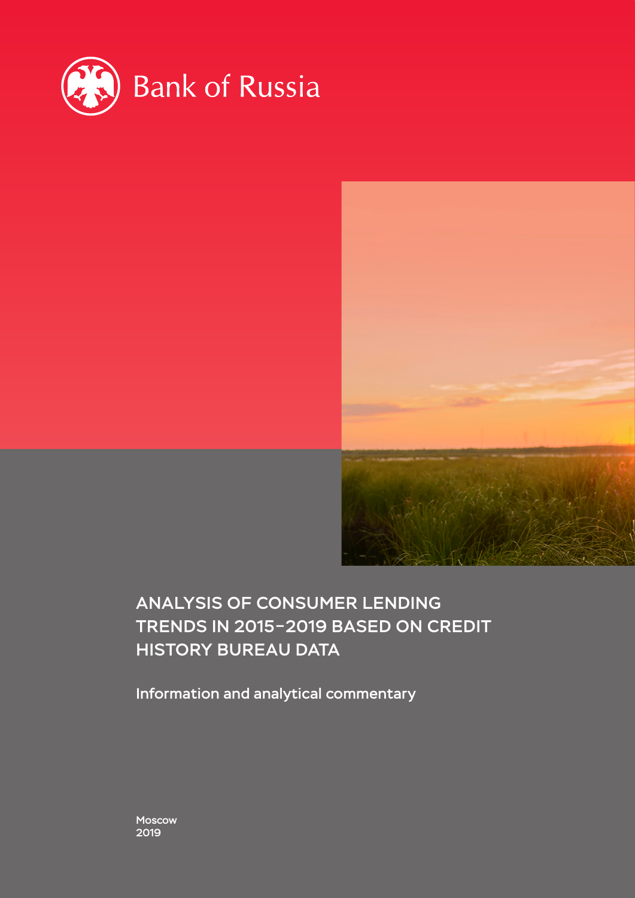



## Analysis of consumer lending trends in 2015–2019 based on credit history bureau data

Information and analytical commentary

Moscow 2019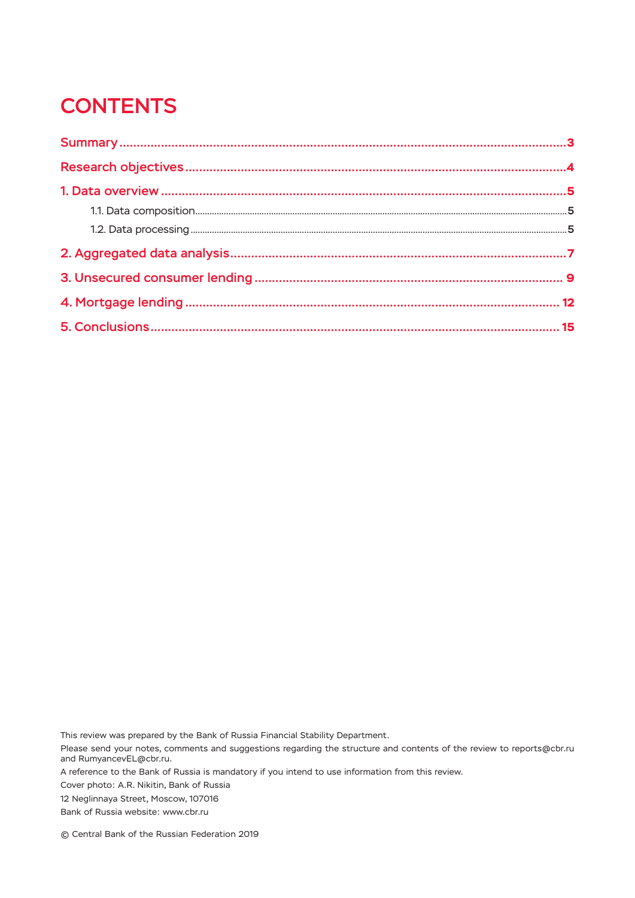# **CONTENTS**

This review was prepared by the Bank of Russia Financial Stability Department.

Please send your notes, comments and suggestions regarding the structure and contents of the review to reports@cbr.ru and RumyancevEL@cbr.ru.

A reference to the Bank of Russia is mandatory if you intend to use information from this review.

Cover photo: A.R. Nikitin, Bank of Russia

12 Neglinnaya Street, Moscow, 107016

Bank of Russia website: www.cbr.ru

© Central Bank of the Russian Federation 2019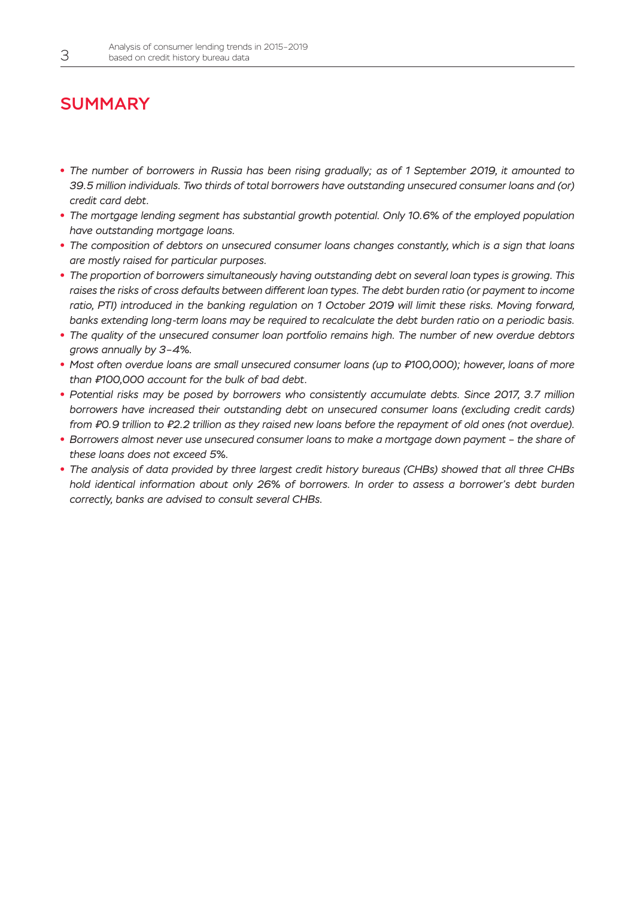## <span id="page-2-0"></span>**SUMMARY**

- *The number of borrowers in Russia has been rising gradually; as of 1 September 2019, it amounted to 39.5 million individuals. Two thirds of total borrowers have outstanding unsecured consumer loans and (or) credit card debt.*
- *The mortgage lending segment has substantial growth potential. Only 10.6% of the employed population have outstanding mortgage loans.*
- *The composition of debtors on unsecured consumer loans changes constantly, which is a sign that loans are mostly raised for particular purposes.*
- *The proportion of borrowers simultaneously having outstanding debt on several loan types is growing. This*  raises the risks of cross defaults between different loan types. The debt burden ratio (or payment to income ratio, PTI) introduced in the banking regulation on 1 October 2019 will limit these risks. Moving forward, *banks extending long-term loans may be required to recalculate the debt burden ratio on a periodic basis.*
- *The quality of the unsecured consumer loan portfolio remains high. The number of new overdue debtors grows annually by 3–4%.*
- *Most often overdue loans are small unsecured consumer loans (up to ₽100,000); however, loans of more than ₽100,000 account for the bulk of bad debt.*
- *Potential risks may be posed by borrowers who consistently accumulate debts. Since 2017, 3.7 million borrowers have increased their outstanding debt on unsecured consumer loans (excluding credit cards) from ₽0.9 trillion to ₽2.2 trillion as they raised new loans before the repayment of old ones (not overdue).*
- *Borrowers almost never use unsecured consumer loans to make a mortgage down payment the share of these loans does not exceed 5%.*
- *The analysis of data provided by three largest credit history bureaus (CHBs) showed that all three CHBs hold identical information about only 26% of borrowers. In order to assess a borrower's debt burden correctly, banks are advised to consult several CHBs.*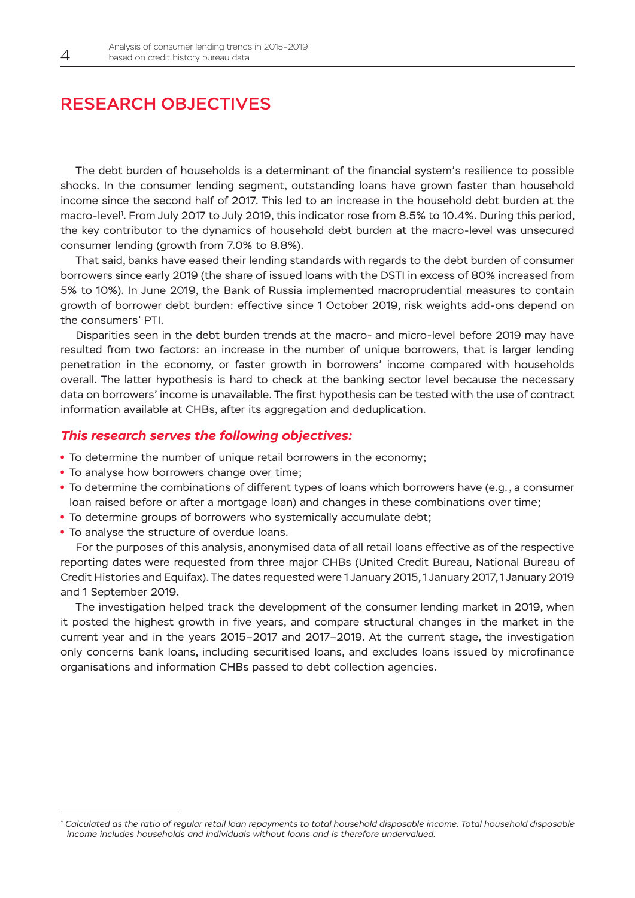### <span id="page-3-0"></span>Research objectives

The debt burden of households is a determinant of the financial system's resilience to possible shocks. In the consumer lending segment, outstanding loans have grown faster than household income since the second half of 2017. This led to an increase in the household debt burden at the macro-level1 . From July 2017 to July 2019, this indicator rose from 8.5% to 10.4%. During this period, the key contributor to the dynamics of household debt burden at the macro-level was unsecured consumer lending (growth from 7.0% to 8.8%).

That said, banks have eased their lending standards with regards to the debt burden of consumer borrowers since early 2019 (the share of issued loans with the DSTI in excess of 80% increased from 5% to 10%). In June 2019, the Bank of Russia implemented macroprudential measures to contain growth of borrower debt burden: effective since 1 October 2019, risk weights add-ons depend on the consumers' PTI.

Disparities seen in the debt burden trends at the macro- and micro-level before 2019 may have resulted from two factors: an increase in the number of unique borrowers, that is larger lending penetration in the economy, or faster growth in borrowers' income compared with households overall. The latter hypothesis is hard to check at the banking sector level because the necessary data on borrowers' income is unavailable. The first hypothesis can be tested with the use of contract information available at CHBs, after its aggregation and deduplication.

#### *This research serves the following objectives:*

- To determine the number of unique retail borrowers in the economy;
- To analyse how borrowers change over time;
- To determine the combinations of different types of loans which borrowers have (e.g., a consumer loan raised before or after a mortgage loan) and changes in these combinations over time;
- To determine groups of borrowers who systemically accumulate debt;
- To analyse the structure of overdue loans.

For the purposes of this analysis, anonymised data of all retail loans effective as of the respective reporting dates were requested from three major CHBs (United Credit Bureau, National Bureau of Credit Histories and Equifax). The dates requested were 1 January 2015, 1 January 2017, 1 January 2019 and 1 September 2019.

The investigation helped track the development of the consumer lending market in 2019, when it posted the highest growth in five years, and compare structural changes in the market in the current year and in the years 2015–2017 and 2017–2019. At the current stage, the investigation only concerns bank loans, including securitised loans, and excludes loans issued by microfinance organisations and information CHBs passed to debt collection agencies.

*<sup>1</sup> Calculated as the ratio of regular retail loan repayments to total household disposable income. Total household disposable income includes households and individuals without loans and is therefore undervalued.*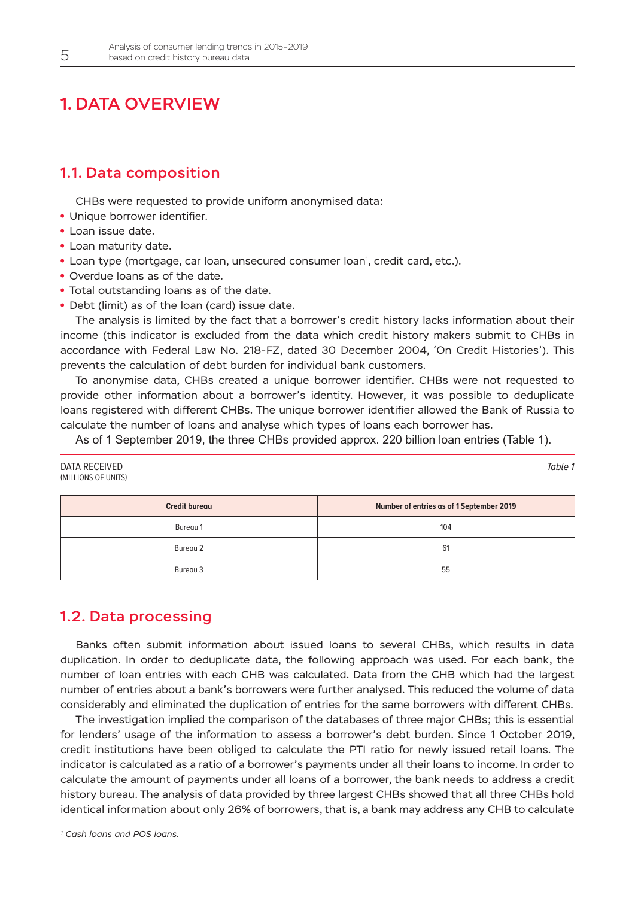### 1. DATA OVERVIEW

### 1.1. Data composition

CHBs were requested to provide uniform anonymised data:

- Unique borrower identifier.
- Loan issue date.
- Loan maturity date.
- **Loan type (mortgage, car loan, unsecured consumer loan<sup>1</sup>, credit card, etc.).**
- Overdue loans as of the date.
- Total outstanding loans as of the date.
- Debt (limit) as of the loan (card) issue date.

The analysis is limited by the fact that a borrower's credit history lacks information about their income (this indicator is excluded from the data which credit history makers submit to CHBs in accordance with Federal Law No. 218-FZ, dated 30 December 2004, 'On Credit Histories'). This prevents the calculation of debt burden for individual bank customers.

To anonymise data, CHBs created a unique borrower identifier. CHBs were not requested to provide other information about a borrower's identity. However, it was possible to deduplicate loans registered with different CHBs. The unique borrower identifier allowed the Bank of Russia to calculate the number of loans and analyse which types of loans each borrower has.

As of 1 September 2019, the three CHBs provided approx. 220 billion loan entries (Table 1).

| DATA RECEIVED<br>(MILLIONS OF UNITS) | Table 1                                  |  |
|--------------------------------------|------------------------------------------|--|
| <b>Credit bureau</b>                 | Number of entries as of 1 September 2019 |  |
| Bureau 1                             | 104                                      |  |
| Bureau 2                             | 61                                       |  |
| Bureau 3                             | 55                                       |  |

### 1.2. Data processing

Banks often submit information about issued loans to several CHBs, which results in data duplication. In order to deduplicate data, the following approach was used. For each bank, the number of loan entries with each CHB was calculated. Data from the CHB which had the largest number of entries about a bank's borrowers were further analysed. This reduced the volume of data considerably and eliminated the duplication of entries for the same borrowers with different CHBs.

The investigation implied the comparison of the databases of three major CHBs; this is essential for lenders' usage of the information to assess a borrower's debt burden. Since 1 October 2019, credit institutions have been obliged to calculate the PTI ratio for newly issued retail loans. The indicator is calculated as a ratio of a borrower's payments under all their loans to income. In order to calculate the amount of payments under all loans of a borrower, the bank needs to address a credit history bureau. The analysis of data provided by three largest CHBs showed that all three CHBs hold identical information about only 26% of borrowers, that is, a bank may address any CHB to calculate

<span id="page-4-0"></span>

*<sup>1</sup> Cash loans and POS loans.*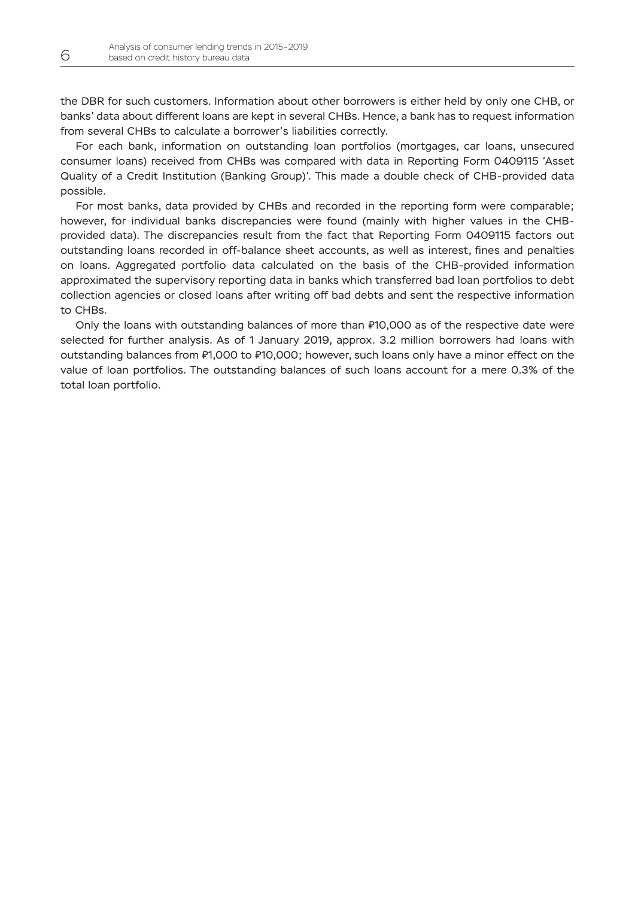the DBR for such customers. Information about other borrowers is either held by only one CHB, or banks' data about different loans are kept in several CHBs. Hence, a bank has to request information from several CHBs to calculate a borrower's liabilities correctly.

For each bank, information on outstanding loan portfolios (mortgages, car loans, unsecured consumer loans) received from CHBs was compared with data in Reporting Form 0409115 'Asset Quality of a Credit Institution (Banking Group)'. This made a double check of CHB-provided data possible.

For most banks, data provided by CHBs and recorded in the reporting form were comparable; however, for individual banks discrepancies were found (mainly with higher values in the CHBprovided data). The discrepancies result from the fact that Reporting Form 0409115 factors out outstanding loans recorded in off-balance sheet accounts, as well as interest, fines and penalties on loans. Aggregated portfolio data calculated on the basis of the CHB-provided information approximated the supervisory reporting data in banks which transferred bad loan portfolios to debt collection agencies or closed loans after writing off bad debts and sent the respective information to CHBs.

Only the loans with outstanding balances of more than ₽10,000 as of the respective date were selected for further analysis. As of 1 January 2019, approx. 3.2 million borrowers had loans with outstanding balances from ₽1,000 to ₽10,000; however, such loans only have a minor effect on the value of loan portfolios. The outstanding balances of such loans account for a mere 0.3% of the total loan portfolio.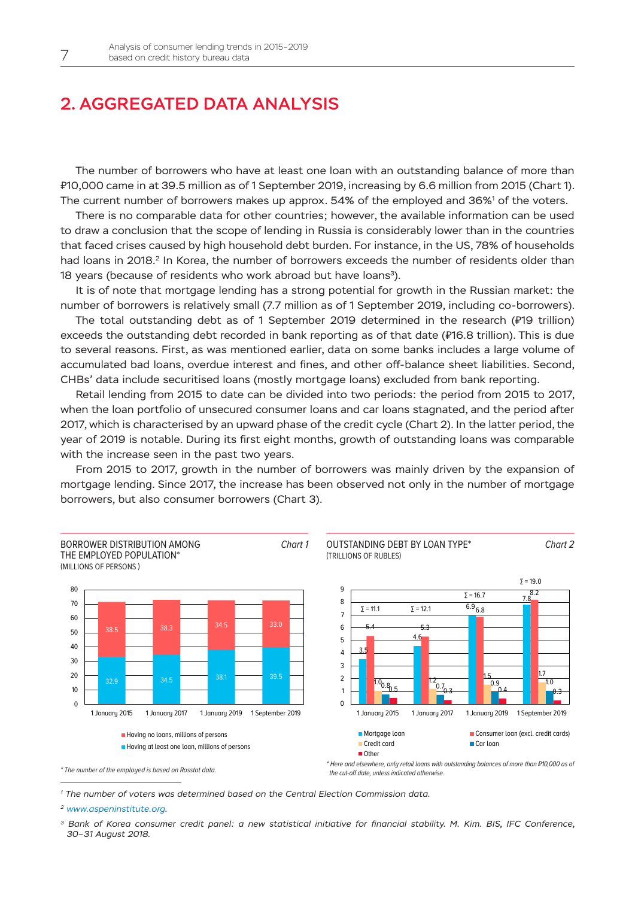### <span id="page-6-0"></span>2. Aggregated data analysis

The number of borrowers who have at least one loan with an outstanding balance of more than ₽10,000 came in at 39.5 million as of 1 September 2019, increasing by 6.6 million from 2015 (Chart 1). The current number of borrowers makes up approx.  $54\%$  of the employed and 36% $^{\rm 1}$  of the voters.

There is no comparable data for other countries; however, the available information can be used to draw a conclusion that the scope of lending in Russia is considerably lower than in the countries that faced crises caused by high household debt burden. For instance, in the US, 78% of households had loans in 2018.<sup>2</sup> In Korea, the number of borrowers exceeds the number of residents older than 18 years (because of residents who work abroad but have loans<sup>3</sup>).

It is of note that mortgage lending has a strong potential for growth in the Russian market: the number of borrowers is relatively small (7.7 million as of 1 September 2019, including co-borrowers).

The total outstanding debt as of 1 September 2019 determined in the research (₽19 trillion) exceeds the outstanding debt recorded in bank reporting as of that date (₽16.8 trillion). This is due to several reasons. First, as was mentioned earlier, data on some banks includes a large volume of accumulated bad loans, overdue interest and fines, and other off-balance sheet liabilities. Second, CHBs' data include securitised loans (mostly mortgage loans) excluded from bank reporting.

Retail lending from 2015 to date can be divided into two periods: the period from 2015 to 2017, when the loan portfolio of unsecured consumer loans and car loans stagnated, and the period after 2017, which is characterised by an upward phase of the credit cycle (Chart 2). In the latter period, the year of 2019 is notable. During its first eight months, growth of outstanding loans was comparable with the increase seen in the past two years.

From 2015 to 2017, growth in the number of borrowers was mainly driven by the expansion of mortgage lending. Since 2017, the increase has been observed not only in the number of mortgage borrowers, but also consumer borrowers (Chart 3).



*\* The number of the employed is based on Rosstat data.*

the cut-off date, unless indicated otherwise.

*<sup>1</sup> The number of voters was determined based on the Central Election Commission data.*

*<sup>2</sup> www.aspeninstitute.org.*

*<sup>3</sup> Bank of Korea consumer credit panel: a new statistical initiative for financial stability. M. Kim. BIS, IFC Conference, 30–31 August 2018.*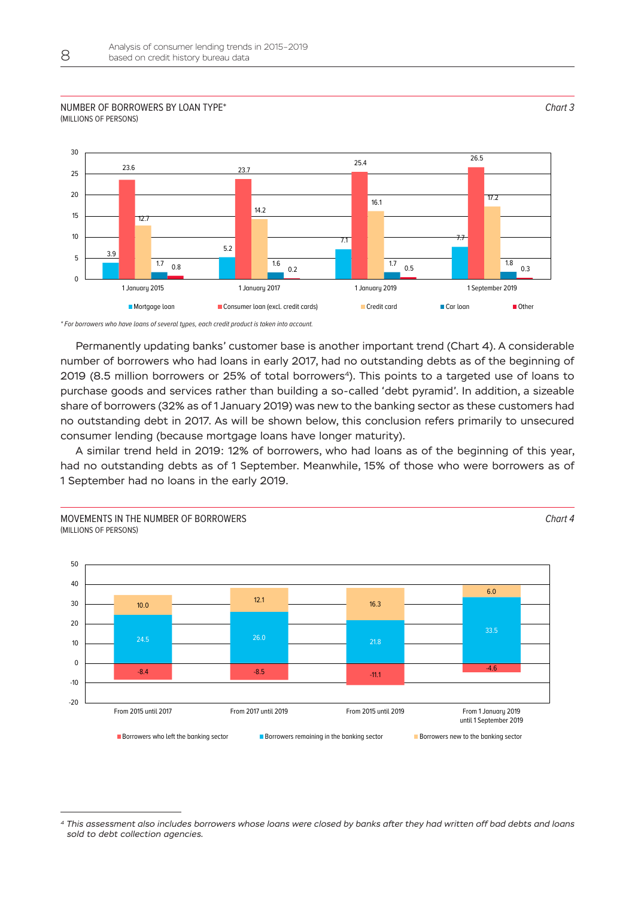#### Number of borrowers by loan type\* (millions of persons)



*\* For borrowers who have loans of several types, each credit product is taken into account.*

Movements in the number of borrowers

Permanently updating banks' customer base is another important trend (Chart 4). A considerable number of borrowers who had loans in early 2017, had no outstanding debts as of the beginning of 2019 (8.5 million borrowers or 25% of total borrowers<sup>4</sup>). This points to a targeted use of loans to purchase goods and services rather than building a so-called 'debt pyramid'. In addition, a sizeable share of borrowers (32% as of 1 January 2019) was new to the banking sector as these customers had no outstanding debt in 2017. As will be shown below, this conclusion refers primarily to unsecured consumer lending (because mortgage loans have longer maturity).

A similar trend held in 2019: 12% of borrowers, who had loans as of the beginning of this year, had no outstanding debts as of 1 September. Meanwhile, 15% of those who were borrowers as of 1 September had no loans in the early 2019.



*Chart 3*

*Chart 4*

*<sup>4</sup> This assessment also includes borrowers whose loans were closed by banks after they had written off bad debts and loans sold to debt collection agencies.*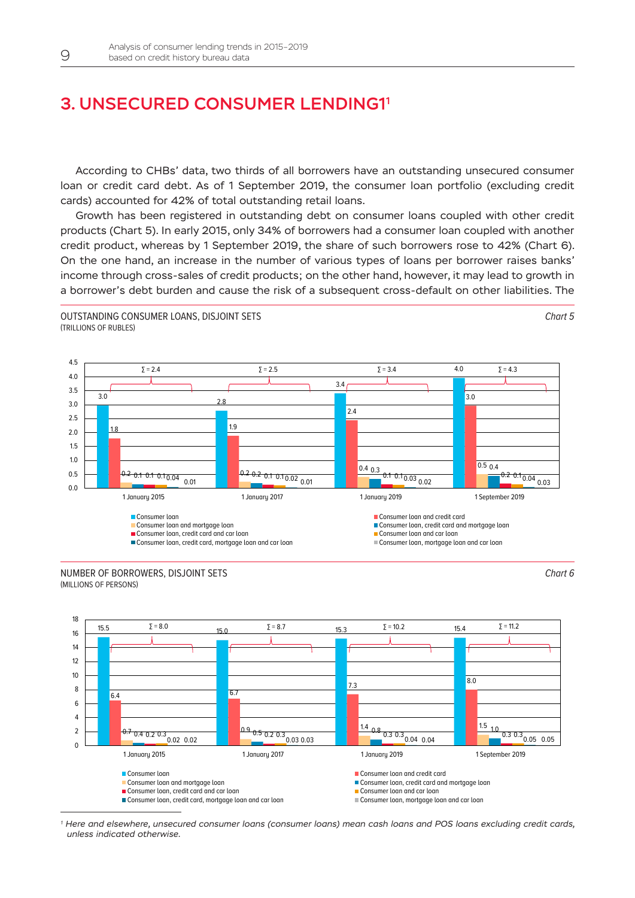### <span id="page-8-0"></span>3. Unsecured consumer lending11

1According to CHBs' data, two thirds of all borrowers have an outstanding unsecured consumer loan or credit card debt. As of 1 September 2019, the consumer loan portfolio (excluding credit cards) accounted for 42% of total outstanding retail loans.

Growth has been registered in outstanding debt on consumer loans coupled with other credit products (Chart 5). In early 2015, only 34% of borrowers had a consumer loan coupled with another credit product, whereas by 1 September 2019, the share of such borrowers rose to 42% (Chart 6). On the one hand, an increase in the number of various types of loans per borrower raises banks' income through cross-sales of credit products; on the other hand, however, it may lead to growth in a borrower's debt burden and cause the risk of a subsequent cross-default on other liabilities. The





Outstanding consumer loans, disjoint sets

*Chart 6*

*Chart 5*



*1 Here and elsewhere, unsecured consumer loans (consumer loans) mean cash loans and POS loans excluding credit cards, unless indicated otherwise.*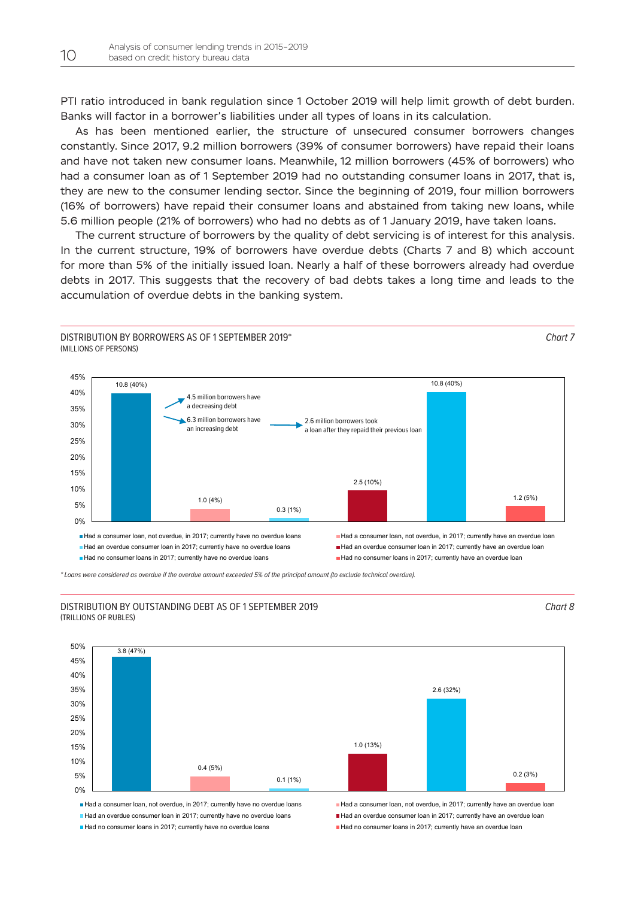PTI ratio introduced in bank regulation since 1 October 2019 will help limit growth of debt burden. Banks will factor in a borrower's liabilities under all types of loans in its calculation.

As has been mentioned earlier, the structure of unsecured consumer borrowers changes constantly. Since 2017, 9.2 million borrowers (39% of consumer borrowers) have repaid their loans and have not taken new consumer loans. Meanwhile, 12 million borrowers (45% of borrowers) who had a consumer loan as of 1 September 2019 had no outstanding consumer loans in 2017, that is, they are new to the consumer lending sector. Since the beginning of 2019, four million borrowers (16% of borrowers) have repaid their consumer loans and abstained from taking new loans, while 5.6 million people (21% of borrowers) who had no debts as of 1 January 2019, have taken loans.

The current structure of borrowers by the quality of debt servicing is of interest for this analysis. In the current structure, 19% of borrowers have overdue debts (Charts 7 and 8) which account for more than 5% of the initially issued loan. Nearly a half of these borrowers already had overdue debts in 2017. This suggests that the recovery of bad debts takes a long time and leads to the accumulation of overdue debts in the banking system.



*\* Loans were considered as overdue if the overdue amount exceeded 5% of the principal amount (to exclude technical overdue).*

#### Distribution by outstanding debt as of 1 September 2019 (trillions of rubles)





 $\blacksquare$  Had an overdue consumer loan in 2017; currently have no overdue loans  $\blacksquare$  Had an overdue consumer loan in 2017; currently have an overdue loan Had no consumer loans in 2017; currently have no overdue loans Had no consumer loans in 2017; currently have an overdue loan

Had a consumer loan, not overdue, in 2017; currently have no overdue loans Had a consumer loan, not overdue, in 2017; currently have an overdue loan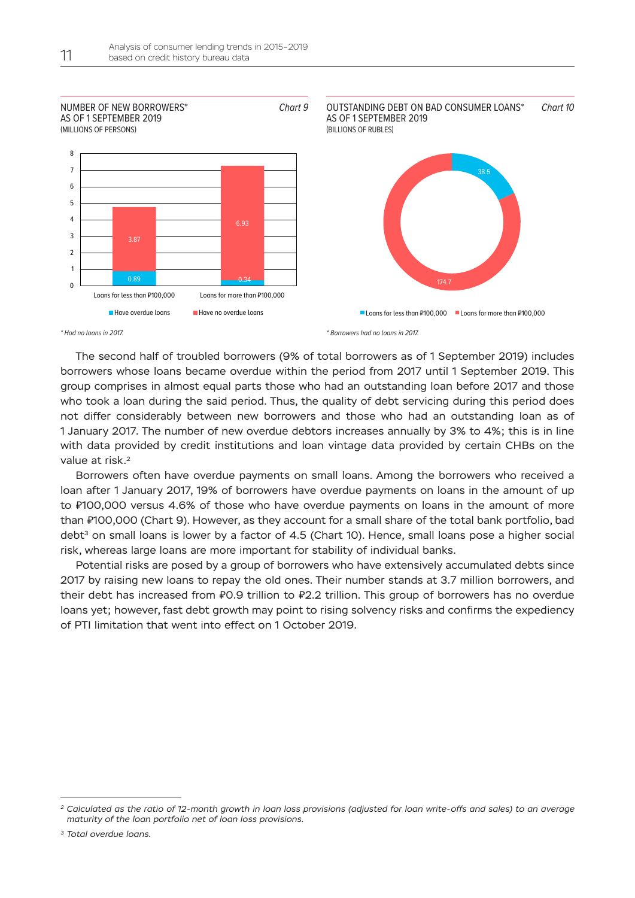

\* Had no loans in 2017.

\* Borrowers had no loans in 2017.

The second half of troubled borrowers (9% of total borrowers as of 1 September 2019) includes borrowers whose loans became overdue within the period from 2017 until 1 September 2019. This group comprises in almost equal parts those who had an outstanding loan before 2017 and those who took a loan during the said period. Thus, the quality of debt servicing during this period does not differ considerably between new borrowers and those who had an outstanding loan as of 1 January 2017. The number of new overdue debtors increases annually by 3% to 4%; this is in line with data provided by credit institutions and loan vintage data provided by certain CHBs on the value at risk.<sup>2</sup>

Borrowers often have overdue payments on small loans. Among the borrowers who received a loan after 1 January 2017, 19% of borrowers have overdue payments on loans in the amount of up to ₽100,000 versus 4.6% of those who have overdue payments on loans in the amount of more than ₽100,000 (Chart 9). However, as they account for a small share of the total bank portfolio, bad debt<sup>3</sup> on small loans is lower by a factor of 4.5 (Chart 10). Hence, small loans pose a higher social risk, whereas large loans are more important for stability of individual banks.

Potential risks are posed by a group of borrowers who have extensively accumulated debts since 2017 by raising new loans to repay the old ones. Their number stands at 3.7 million borrowers, and their debt has increased from ₽0.9 trillion to ₽2.2 trillion. This group of borrowers has no overdue loans yet; however, fast debt growth may point to rising solvency risks and confirms the expediency of PTI limitation that went into effect on 1 October 2019.

*<sup>2</sup> Calculated as the ratio of 12-month growth in loan loss provisions (adjusted for loan write-offs and sales) to an average maturity of the loan portfolio net of loan loss provisions.*

*<sup>3</sup> Total overdue loans.*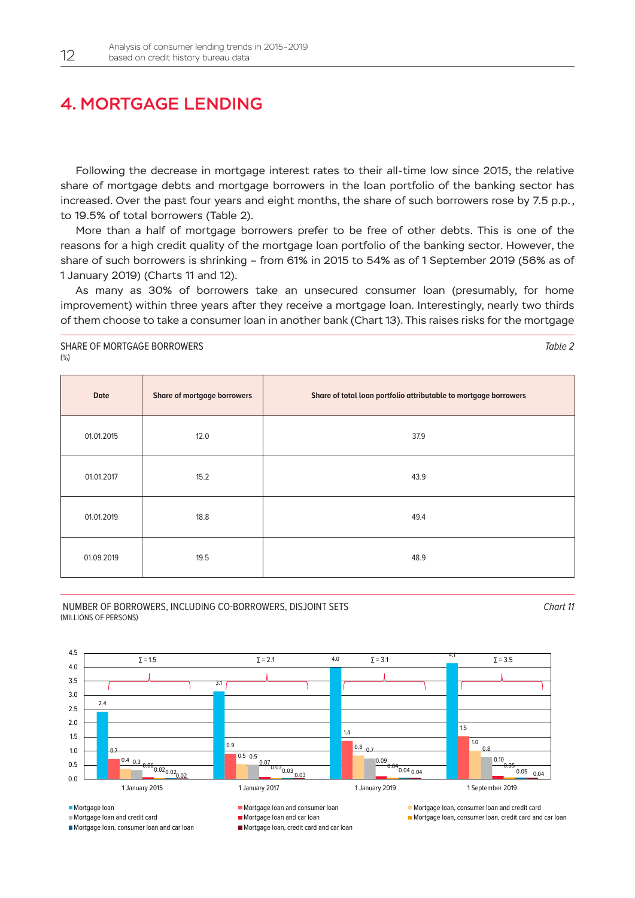### <span id="page-11-0"></span>4. Mortgage lending

Following the decrease in mortgage interest rates to their all-time low since 2015, the relative share of mortgage debts and mortgage borrowers in the loan portfolio of the banking sector has increased. Over the past four years and eight months, the share of such borrowers rose by 7.5 p.p., to 19.5% of total borrowers (Table 2).

More than a half of mortgage borrowers prefer to be free of other debts. This is one of the reasons for a high credit quality of the mortgage loan portfolio of the banking sector. However, the share of such borrowers is shrinking – from 61% in 2015 to 54% as of 1 September 2019 (56% as of 1 January 2019) (Charts 11 and 12).

As many as 30% of borrowers take an unsecured consumer loan (presumably, for home improvement) within three years after they receive a mortgage loan. Interestingly, nearly two thirds of them choose to take a consumer loan in another bank (Chart 13). This raises risks for the mortgage

Share of mortgage borrowers (%)

**Date Share of mortgage borrowers Share of total loan portfolio attributable to mortgage borrowers** 01.01.2015 12.0 37.9  $01.01.2017$  and  $15.2$  and  $15.2$  and  $15.2$  and  $15.2$  and  $15.2$  and  $15.2$  and  $15.2$  and  $15.2$  and  $15.2$  and  $15.2$  and  $15.2$  and  $15.2$  and  $15.2$  and  $15.2$  and  $15.2$  and  $15.2$  and  $15.2$  and  $15.2$  and  $15.2$  $01.01.2019$  and  $18.8$  and  $49.4$  $01.09.2019$  and  $19.5$  and  $19.5$  and  $19.99.2019$  and  $19.99.2019$  and  $19.5$  and  $19.99.2019$  and  $19.99.2019$  and  $19.99.2019$  and  $19.99.2019$  and  $19.99.2019$  and  $19.99.2019$  and  $19.99.2019$  and  $19.99.2019$  and



*Chart 11*

*Table 2*

 $2.4$  $3.1$ 4.0  $5 = 3.1$ 0.7 0.9  $1.4$  1.5 0.4 0.3  $\sim$  0.5 0.8  $_{0.7}$  1.0  $\frac{0.3}{0.3}$  0.5 0.5 0.7 0.09, 0.9, 0.09, 0.9 0.7 0.8  $\frac{0.05}{0.02}$   $\frac{0.04}{0.03}$   $\frac{0.06}{0.02}$   $\frac{0.02}{0.03}$   $\frac{0.03}{0.03}$   $\frac{0.03}{0.03}$   $\frac{0.04}{0.04}$   $\frac{0.04}{0.04}$   $\frac{0.04}{0.04}$   $\frac{0.05}{0.05}$   $\frac{0.05}{0.05}$   $\frac{0.06}{0.05}$ 0.5 1.0 1.5 2.0 2.5 3.0 3.5 4.0 4.5 1 January 2015 1 January 2017 1 January 2019 1 September 2019 Mortgage loan Mortgage loan and consumer loan Mortgage loan and consumer loan Mortgage loan, consumer loan and credit card Mortgage loan and credit card Mortgage loan and car loan Mortgage loan Mortgage loan, consumer loan, credit card and car loan Mortgage loan, consumer loan and car loan Mortgage loan, credit card and car loan  $\Sigma = 1.5$   $\Sigma = 2.1$   $4.0$   $\Sigma = 3.1$   $\Sigma = 3.5$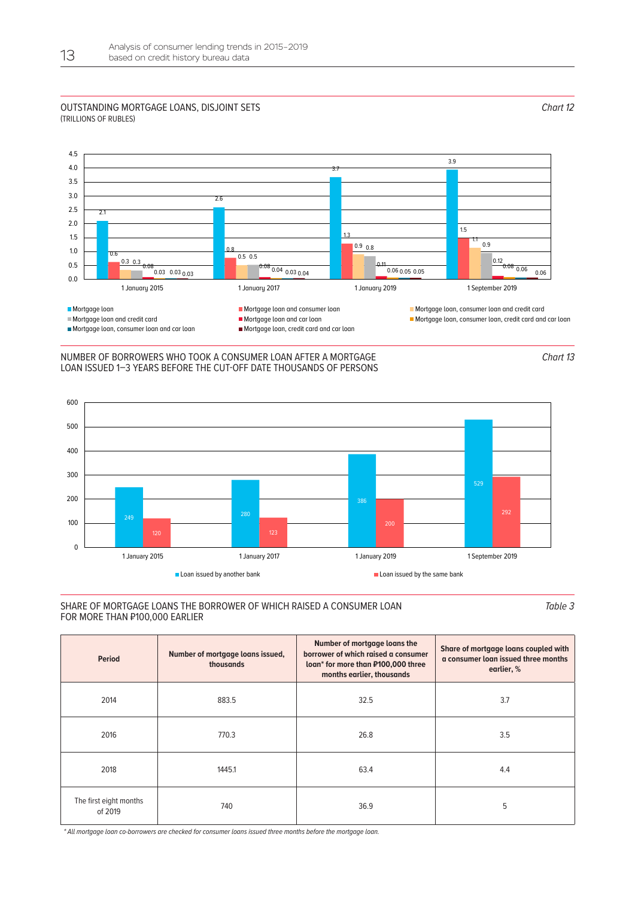#### Outstanding mortgage loans, disjoint sets (trillions of rubles)





#### Number of borrowers who took a consumer loan after a mortgage loan issued 1–3 years before the cut-off date thousands of persons



#### Share of mortgage loans the borrower of which raised a consumer loan for more than ₽100,000 earlier

*Table 3*

| <b>Period</b>                     | Number of mortgage loans issued,<br>thousands | Number of mortgage loans the<br>borrower of which raised a consumer<br>loan* for more than P100,000 three<br>months earlier, thousands | Share of mortgage loans coupled with<br>a consumer loan issued three months<br>earlier, % |
|-----------------------------------|-----------------------------------------------|----------------------------------------------------------------------------------------------------------------------------------------|-------------------------------------------------------------------------------------------|
| 2014                              | 883.5                                         | 32.5                                                                                                                                   | 3.7                                                                                       |
| 2016                              | 770.3                                         | 26.8                                                                                                                                   | 3.5                                                                                       |
| 2018                              | 1445.1                                        | 63.4                                                                                                                                   | 4.4                                                                                       |
| The first eight months<br>of 2019 | 740                                           | 36.9                                                                                                                                   | 5                                                                                         |

*\* All mortgage loan co-borrowers are checked for consumer loans issued three months before the mortgage loan.*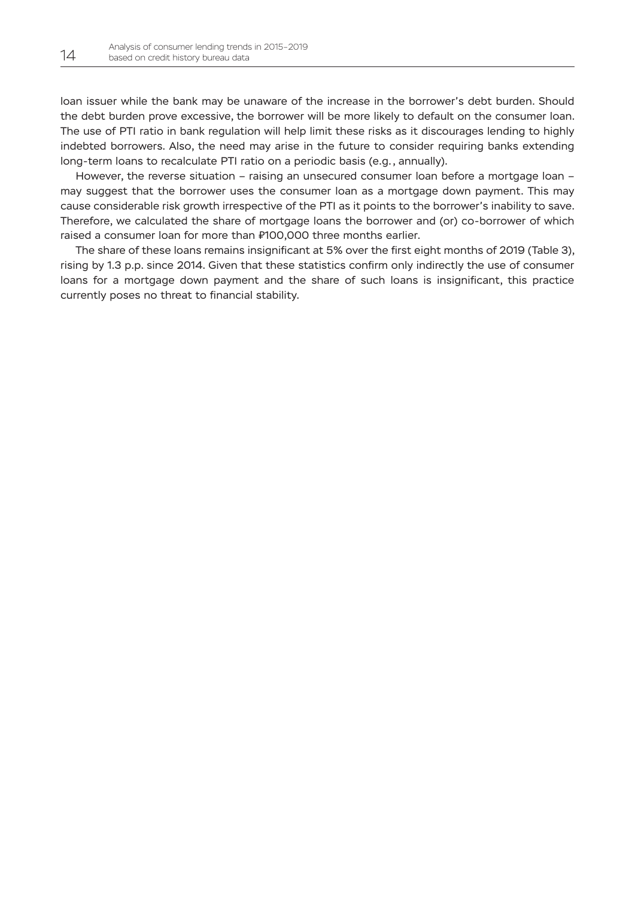loan issuer while the bank may be unaware of the increase in the borrower's debt burden. Should the debt burden prove excessive, the borrower will be more likely to default on the consumer loan. The use of PTI ratio in bank regulation will help limit these risks as it discourages lending to highly indebted borrowers. Also, the need may arise in the future to consider requiring banks extending long-term loans to recalculate PTI ratio on a periodic basis (e.g., annually).

However, the reverse situation – raising an unsecured consumer loan before a mortgage loan – may suggest that the borrower uses the consumer loan as a mortgage down payment. This may cause considerable risk growth irrespective of the PTI as it points to the borrower's inability to save. Therefore, we calculated the share of mortgage loans the borrower and (or) co-borrower of which raised a consumer loan for more than ₽100,000 three months earlier.

The share of these loans remains insignificant at 5% over the first eight months of 2019 (Table 3), rising by 1.3 p.p. since 2014. Given that these statistics confirm only indirectly the use of consumer loans for a mortgage down payment and the share of such loans is insignificant, this practice currently poses no threat to financial stability.